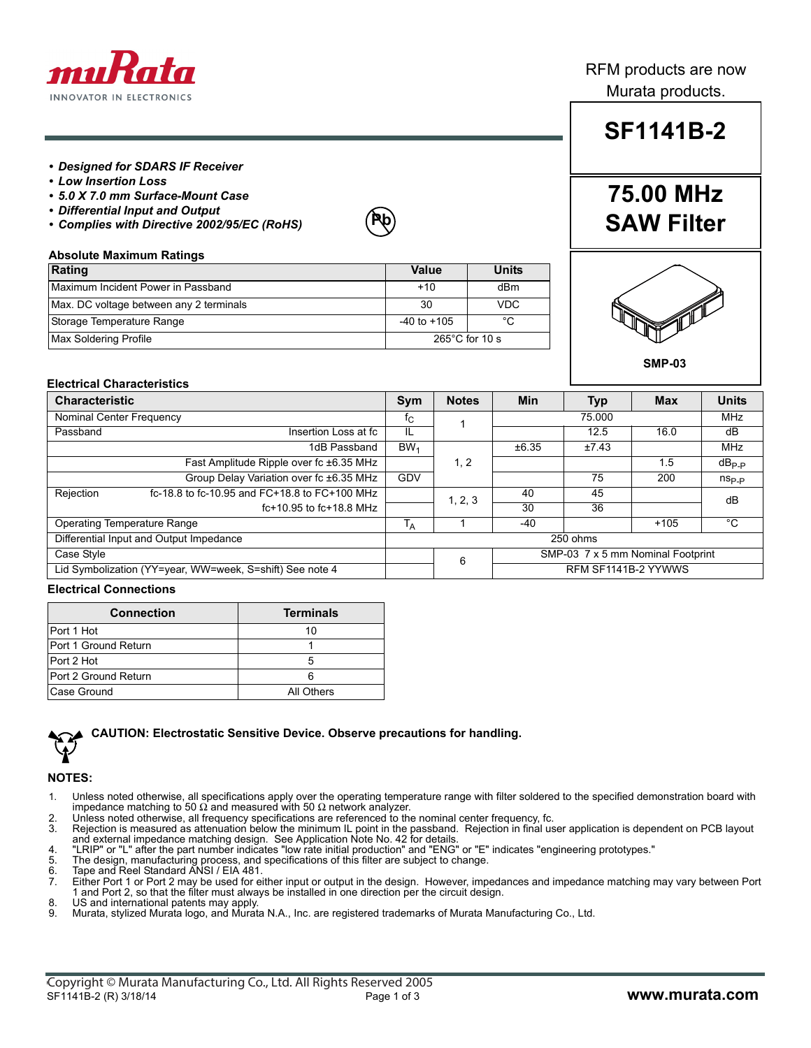

## RFM products are now Murata products.

#### *• Designed for SDARS IF Receiver*

- *Low Insertion Loss*
- *5.0 X 7.0 mm Surface-Mount Case*
- *Differential Input and Output*
- *Complies with Directive 2002/95/EC (RoHS)*



### **Absolute Maximum Ratings**

| Rating                                  | Value           | Units                    |
|-----------------------------------------|-----------------|--------------------------|
| Maximum Incident Power in Passband      | $+10$           | dBm                      |
| Max. DC voltage between any 2 terminals | 30              | <b>VDC</b>               |
| Storage Temperature Range               | $-40$ to $+105$ | °C                       |
| Max Soldering Profile                   |                 | $265^{\circ}$ C for 10 s |

# **SF1141B-2**

## **75.00 MHz SAW Filter**



#### **SMP-03**

#### **Electrical Characteristics**

| <b>Characteristic</b>                                    |                                               | Sym                                    | <b>Notes</b> | Min    | <b>Typ</b>          | <b>Max</b> | <b>Units</b>      |
|----------------------------------------------------------|-----------------------------------------------|----------------------------------------|--------------|--------|---------------------|------------|-------------------|
| Nominal Center Frequency                                 |                                               | ĪС                                     |              | 75.000 |                     | <b>MHz</b> |                   |
| Passband                                                 | Insertion Loss at fc                          | IL                                     |              |        | 12.5                | 16.0       | dB                |
|                                                          | 1dB Passband                                  | BW <sub>1</sub>                        |              | ±6.35  | ±7.43               |            | MHz               |
|                                                          | Fast Amplitude Ripple over fc ±6.35 MHz       |                                        | 1, 2         |        |                     | 1.5        | $dB_{P.P}$        |
|                                                          | Group Delay Variation over fc ±6.35 MHz       | <b>GDV</b>                             |              |        | 75                  | 200        | $n_{\text{Sp},p}$ |
| Rejection                                                | fc-18.8 to fc-10.95 and FC+18.8 to FC+100 MHz |                                        | 1, 2, 3      | 40     | 45                  |            | dB                |
|                                                          | $fc+10.95$ to $fc+18.8$ MHz                   |                                        |              | 30     | 36                  |            |                   |
| <b>Operating Temperature Range</b>                       |                                               | <sup>1</sup> A                         |              | $-40$  |                     | $+105$     | °C                |
| Differential Input and Output Impedance                  |                                               | 250 ohms                               |              |        |                     |            |                   |
| Case Style                                               |                                               | SMP-03 7 x 5 mm Nominal Footprint<br>6 |              |        |                     |            |                   |
| Lid Symbolization (YY=year, WW=week, S=shift) See note 4 |                                               |                                        |              |        | RFM SF1141B-2 YYWWS |            |                   |

#### **Electrical Connections**

| <b>Connection</b>    | <b>Terminals</b> |
|----------------------|------------------|
| Port 1 Hot           | 10               |
| Port 1 Ground Return |                  |
| Port 2 Hot           |                  |
| Port 2 Ground Return |                  |
| Case Ground          | All Others       |



#### **CAUTION: Electrostatic Sensitive Device. Observe precautions for handling.**

#### **NOTES:**

- 1. Unless noted otherwise, all specifications apply over the operating temperature range with filter soldered to the specified demonstration board with 50 Ω network analyzer.
- 2. Unless noted otherwise, all frequency specifications are referenced to the nominal center frequency, fc.
- 3. Rejection is measured as attenuation below the minimum IL point in the passband. Rejection in final user application is dependent on PCB layout<br>and external impedance matching design. See Application Note No. 42 for det
- 
- 5. The design, manufacturing process, and specifications of this filter are subject to change. 6. Tape and Reel Standard ANSI / EIA 481.
- 
- 7. Either Port 1 or Port 2 may be used for either input or output in the design. However, impedances and impedance matching may vary between Port 1 and Port 2, so that the filter must always be installed in one direction per the circuit design.
- 8. US and international patents may apply.<br>9. Murata. stylized Murata logo, and Murat Murata, stylized Murata logo, and Murata N.A., Inc. are registered trademarks of Murata Manufacturing Co., Ltd.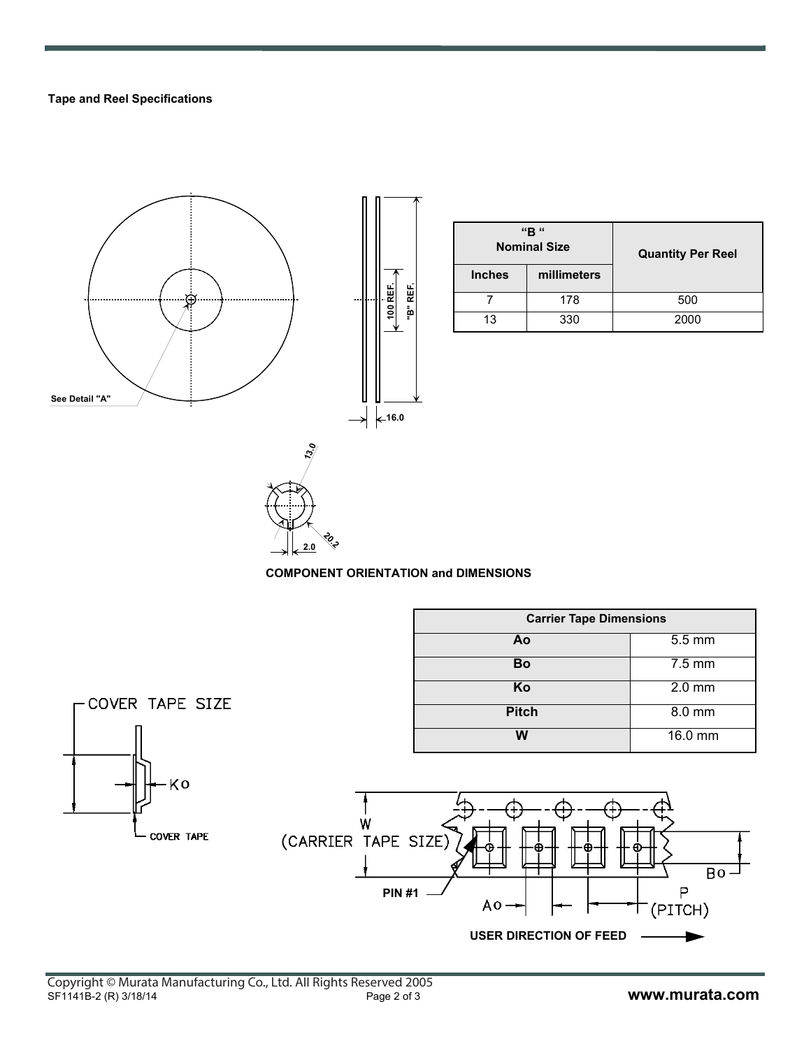#### **Tape and Reel Specifications**



| "B"<br><b>Nominal Size</b> |             | <b>Quantity Per Reel</b> |  |  |
|----------------------------|-------------|--------------------------|--|--|
| <b>Inches</b>              | millimeters |                          |  |  |
|                            | 178         | 500                      |  |  |
| 13                         | 330         | 2000                     |  |  |



#### **COMPONENT ORIENTATION and DIMENSIONS**

|                          |                                           | <b>Carrier Tape Dimensions</b>                          |                        |
|--------------------------|-------------------------------------------|---------------------------------------------------------|------------------------|
|                          |                                           | Ao                                                      | $5.5$ mm               |
|                          |                                           | Bo                                                      | $7.5 \text{ mm}$       |
|                          |                                           | Ko                                                      | $2.0$ mm               |
| -COVER TAPE SIZE         |                                           | <b>Pitch</b>                                            | $8.0$ mm               |
|                          |                                           | $\overline{\mathsf{W}}$                                 | 16.0 mm                |
| ۰Kο<br><b>COVER TAPE</b> | W<br>(CARRIER TAPE SIZE)<br><b>PIN #1</b> | ≎<br>$A_0 \rightarrow$<br><b>USER DIRECTION OF FEED</b> | $Bo -$<br>Р<br>(PITCH) |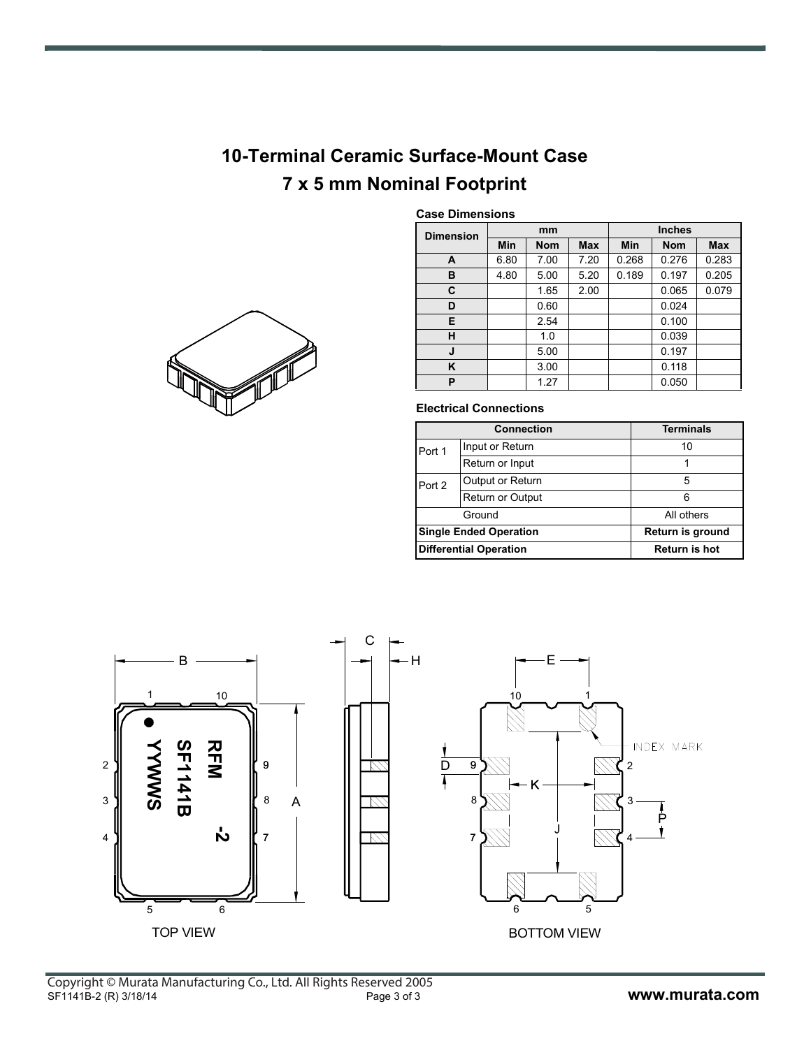## **10-Terminal Ceramic Surface-Mount Case 7 x 5 mm Nominal Footprint**



### **Case Dimensions**

| <b>Dimension</b> | mm   |            |            | <b>Inches</b> |            |            |  |
|------------------|------|------------|------------|---------------|------------|------------|--|
|                  | Min  | <b>Nom</b> | <b>Max</b> | Min           | <b>Nom</b> | <b>Max</b> |  |
| A                | 6.80 | 7.00       | 7.20       | 0.268         | 0.276      | 0.283      |  |
| в                | 4.80 | 5.00       | 5.20       | 0.189         | 0.197      | 0.205      |  |
| C                |      | 1.65       | 2.00       |               | 0.065      | 0.079      |  |
| D                |      | 0.60       |            |               | 0.024      |            |  |
| Е                |      | 2.54       |            |               | 0.100      |            |  |
| н                |      | 1.0        |            |               | 0.039      |            |  |
| J                |      | 5.00       |            |               | 0.197      |            |  |
| ĸ                |      | 3.00       |            |               | 0.118      |            |  |
| P                |      | 1.27       |            |               | 0.050      |            |  |

#### **Electrical Connections**

|        | <b>Connection</b>             | <b>Terminals</b>     |  |  |
|--------|-------------------------------|----------------------|--|--|
| Port 1 | Input or Return               | 10                   |  |  |
|        | Return or Input               |                      |  |  |
| Port 2 | Output or Return              | 5                    |  |  |
|        | <b>Return or Output</b>       | հ                    |  |  |
|        | Ground                        | All others           |  |  |
|        | <b>Single Ended Operation</b> | Return is ground     |  |  |
|        | <b>Differential Operation</b> | <b>Return is hot</b> |  |  |